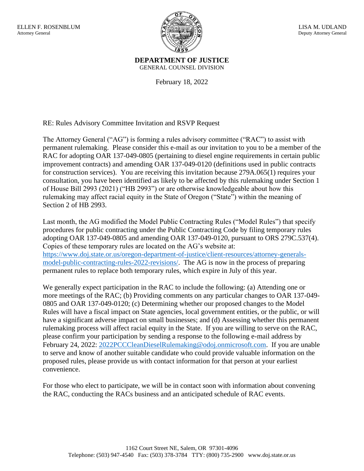

**DEPARTMENT OF JUSTICE** GENERAL COUNSEL DIVISION

February 18, 2022

RE: Rules Advisory Committee Invitation and RSVP Request

The Attorney General ("AG") is forming a rules advisory committee ("RAC") to assist with permanent rulemaking. Please consider this e-mail as our invitation to you to be a member of the RAC for adopting OAR 137-049-0805 (pertaining to diesel engine requirements in certain public improvement contracts) and amending OAR 137-049-0120 (definitions used in public contracts for construction services). You are receiving this invitation because 279A.065(1) requires your consultation, you have been identified as likely to be affected by this rulemaking under Section 1 of House Bill 2993 (2021) ("HB 2993") or are otherwise knowledgeable about how this rulemaking may affect racial equity in the State of Oregon ("State") within the meaning of Section 2 of HB 2993.

Last month, the AG modified the Model Public Contracting Rules ("Model Rules") that specify procedures for public contracting under the Public Contracting Code by filing temporary rules adopting OAR 137-049-0805 and amending OAR 137-049-0120, pursuant to ORS 279C.537(4). Copies of these temporary rules are located on the AG's website at: [https://www.doj.state.or.us/oregon-department-of-justice/client-resources/attorney-generals](https://www.doj.state.or.us/oregon-department-of-justice/client-resources/attorney-generals-model-public-contracting-rules-2022-revisions/)[model-public-contracting-rules-2022-revisions/.](https://www.doj.state.or.us/oregon-department-of-justice/client-resources/attorney-generals-model-public-contracting-rules-2022-revisions/) The AG is now in the process of preparing permanent rules to replace both temporary rules, which expire in July of this year.

We generally expect participation in the RAC to include the following: (a) Attending one or more meetings of the RAC; (b) Providing comments on any particular changes to OAR 137-049- 0805 and OAR 137-049-0120; (c) Determining whether our proposed changes to the Model Rules will have a fiscal impact on State agencies, local government entities, or the public, or will have a significant adverse impact on small businesses; and (d) Assessing whether this permanent rulemaking process will affect racial equity in the State. If you are willing to serve on the RAC, please confirm your participation by sending a response to the following e-mail address by February 24, 2022: [2022PCCCleanDieselRulemaking@odoj.onmicrosoft.com.](mailto:2022PCCCleanDieselRulemaking@odoj.onmicrosoft.com) If you are unable to serve and know of another suitable candidate who could provide valuable information on the proposed rules, please provide us with contact information for that person at your earliest convenience.

For those who elect to participate, we will be in contact soon with information about convening the RAC, conducting the RACs business and an anticipated schedule of RAC events.